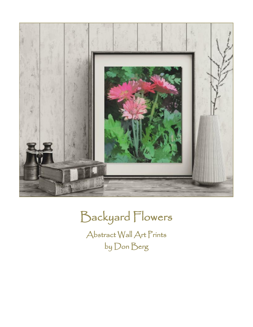

## Backyard Flowers

Abstract Wall Art Prints by Don Berg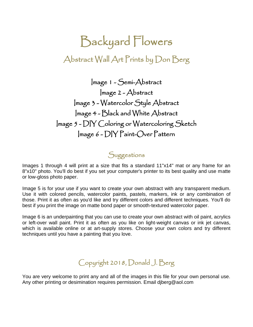## Backyard Flowers Abstract Wall Art Prints by Don Berg

Image 1 - Semi-Abstract Image 2 - Abstract Image 3 - Watercolor Style Abstract Image 4 - Black and White Abstract Image 5 - DIY Coloring or Watercoloring Sketch Image 6 - DIY Paint-Over Pattern

## Suggestions

Images 1 through 4 will print at a size that fits a standard 11"x14" mat or any frame for an 8"x10" photo. You'll do best if you set your computer's printer to its best quality and use matte or low-gloss photo paper.

Image 5 is for your use if you want to create your own abstract with any transparent medium. Use it with colored pencils, watercolor paints, pastels, markers, ink or any combination of those. Print it as often as you'd like and try different colors and different techniques. You'll do best if you print the image on matte bond paper or smooth-textured watercolor paper.

Image 6 is an underpainting that you can use to create your own abstract with oil paint, acrylics or left-over wall paint. Print it as often as you like on light-weight canvas or ink jet canvas, which is available online or at art-supply stores. Choose your own colors and try different techniques until you have a painting that you love.

Copyright 2018, Donald J. Berg

You are very welcome to print any and all of the images in this file for your own personal use. Any other printing or desimination requires permission. Email djberg@aol.com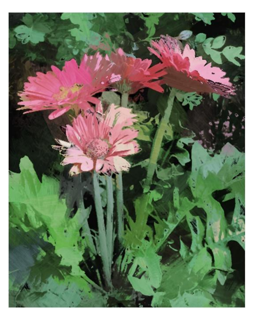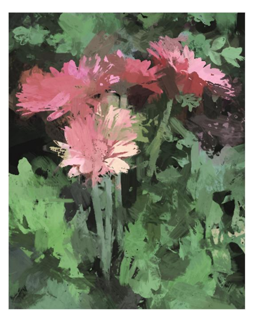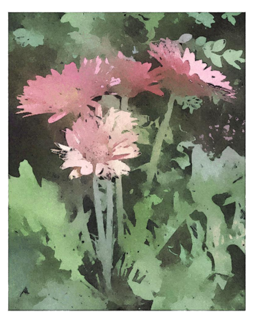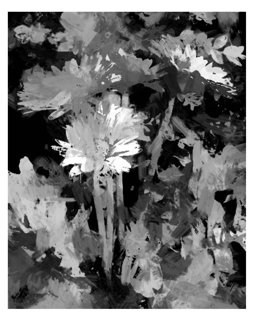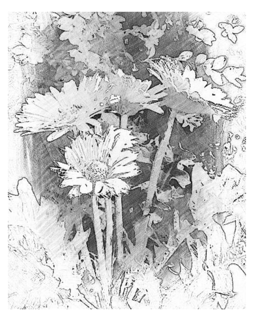